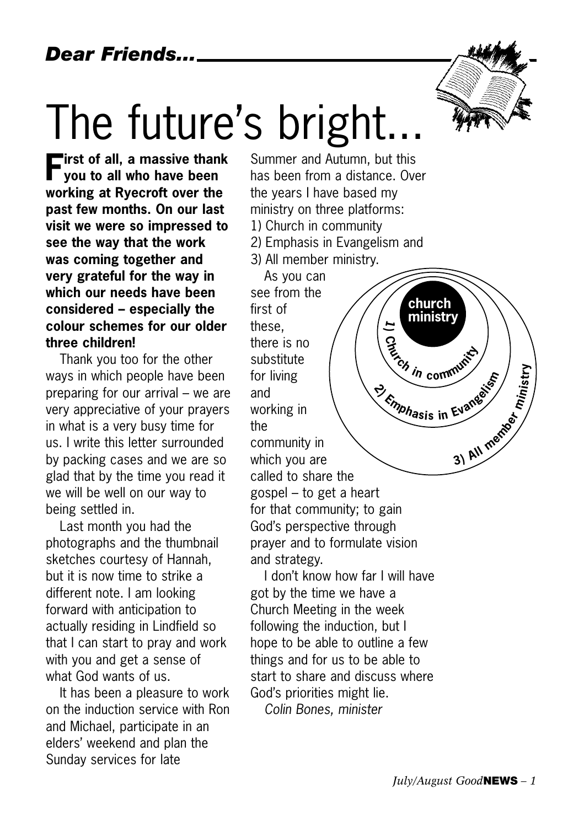*Dear Friends...*

# The future's bright.

**First of all, a massive thank you to all who have been working at Ryecroft over the past few months. On our last visit we were so impressed to see the way that the work was coming together and very grateful for the way in which our needs have been considered – especially the colour schemes for our older three children!** 

Thank you too for the other ways in which people have been preparing for our arrival – we are very appreciative of your prayers in what is a very busy time for us. I write this letter surrounded by packing cases and we are so glad that by the time you read it we will be well on our way to being settled in.

Last month you had the photographs and the thumbnail sketches courtesy of Hannah, but it is now time to strike a different note. I am looking forward with anticipation to actually residing in Lindfield so that I can start to pray and work with you and get a sense of what God wants of us.

It has been a pleasure to work on the induction service with Ron and Michael, participate in an elders' weekend and plan the Sunday services for late

Summer and Autumn, but this has been from a distance. Over the years I have based my ministry on three platforms: 1) Church in community 2) Emphasis in Evangelism and 3) All member ministry.

As you can see from the first of these, there is no substitute for living and working in the community in which you are called to share the gospel – to get a heart for that community; to gain God's perspective through prayer and to formulate vision and strategy. **1) <sup>C</sup>hurc<sup>h</sup> <sup>i</sup><sup>n</sup> <sup>c</sup>ommunit<sup>y</sup> <sup>2</sup>) <sup>E</sup>mphasi<sup>s</sup> <sup>i</sup><sup>n</sup> <sup>E</sup>vangeli<sup>s</sup><sup>m</sup> <sup>3</sup>) <sup>A</sup>l<sup>l</sup> <sup>m</sup>embe<sup>r</sup> ministry church ministry**

I don't know how far I will have got by the time we have a Church Meeting in the week following the induction, but I hope to be able to outline a few things and for us to be able to start to share and discuss where God's priorities might lie.

*Colin Bones, minister*

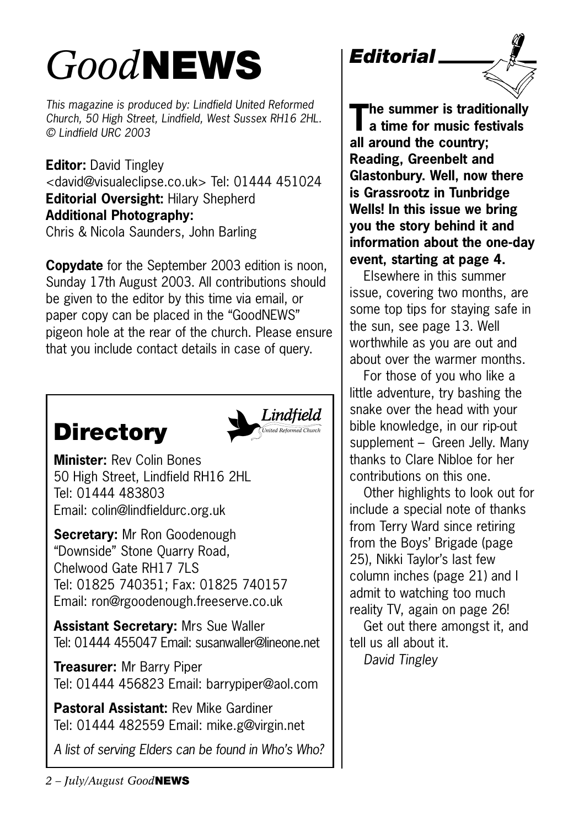# *Good***NEWS**

*This magazine is produced by: Lindfield United Reformed Church, 50 High Street, Lindfield, West Sussex RH16 2HL. © Lindfield URC 2003*

**Editor:** David Tingley <david@visualeclipse.co.uk> Tel: 01444 451024 **Editorial Oversight:** Hilary Shepherd **Additional Photography:** Chris & Nicola Saunders, John Barling

**Copydate** for the September 2003 edition is noon, Sunday 17th August 2003. All contributions should be given to the editor by this time via email, or paper copy can be placed in the "GoodNEWS" pigeon hole at the rear of the church. Please ensure that you include contact details in case of query.

# **Directory**



**Minister:** Rev Colin Bones 50 High Street, Lindfield RH16 2HL Tel: 01444 483803 Email: colin@lindfieldurc.org.uk

**Secretary:** Mr Ron Goodenough "Downside" Stone Quarry Road, Chelwood Gate RH17 7LS Tel: 01825 740351; Fax: 01825 740157 Email: ron@rgoodenough.freeserve.co.uk

**Assistant Secretary:** Mrs Sue Waller Tel: 01444 455047 Email: susanwaller@lineone.net

**Treasurer:** Mr Barry Piper Tel: 01444 456823 Email: barrypiper@aol.com

**Pastoral Assistant:** Rev Mike Gardiner Tel: 01444 482559 Email: mike.g@virgin.net

*A list of serving Elders can be found in Who's Who?*



**The summer is traditionally a time for music festivals all around the country; Reading, Greenbelt and Glastonbury. Well, now there is Grassrootz in Tunbridge Wells! In this issue we bring you the story behind it and information about the one-day event, starting at page 4.**

Elsewhere in this summer issue, covering two months, are some top tips for staying safe in the sun, see page 13. Well worthwhile as you are out and about over the warmer months.

For those of you who like a little adventure, try bashing the snake over the head with your bible knowledge, in our rip-out supplement - Green Jelly. Many thanks to Clare Nibloe for her contributions on this one.

Other highlights to look out for include a special note of thanks from Terry Ward since retiring from the Boys' Brigade (page 25), Nikki Taylor's last few column inches (page 21) and I admit to watching too much reality TV, again on page 26!

Get out there amongst it, and tell us all about it.

*David Tingley*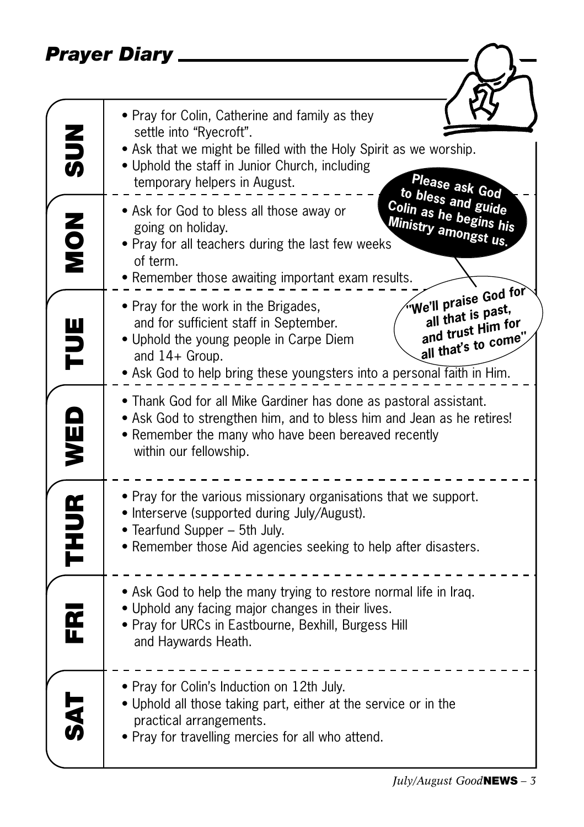### *Prayer Diary*

|             | Prayer Diary                                                                                                                                                                                                                                                                                                     |
|-------------|------------------------------------------------------------------------------------------------------------------------------------------------------------------------------------------------------------------------------------------------------------------------------------------------------------------|
|             |                                                                                                                                                                                                                                                                                                                  |
| $rac{2}{5}$ | • Pray for Colin, Catherine and family as they<br>settle into "Ryecroft".<br>• Ask that we might be filled with the Holy Spirit as we worship.<br>• Uphold the staff in Junior Church, including<br>Please ask God<br>temporary helpers in August.                                                               |
| NON<br>NON  | to bless and guide<br>Colin as he begins his<br>. Ask for God to bless all those away or<br>Ministry amongst us.<br>going on holiday.<br>. Pray for all teachers during the last few weeks<br>of term.<br>• Remember those awaiting important exam results.                                                      |
| ENL         | We'll praise God for<br>• Pray for the work in the Brigades,<br>all that is past,<br>and for sufficient staff in September.<br>and trust Him for<br>all that's to come"<br>• Uphold the young people in Carpe Diem<br>and $14+$ Group.<br>• Ask God to help bring these youngsters into a personal faith in Him. |
| WED         | • Thank God for all Mike Gardiner has done as pastoral assistant.<br>• Ask God to strengthen him, and to bless him and Jean as he retires!<br>• Remember the many who have been bereaved recently<br>within our fellowship.                                                                                      |
| <b>THUR</b> | • Pray for the various missionary organisations that we support.<br>• Interserve (supported during July/August).<br>• Tearfund Supper - 5th July.<br>• Remember those Aid agencies seeking to help after disasters.                                                                                              |
| ᅊ           | • Ask God to help the many trying to restore normal life in Iraq.<br>. Uphold any facing major changes in their lives.<br>• Pray for URCs in Eastbourne, Bexhill, Burgess Hill<br>and Haywards Heath.                                                                                                            |
| <b>SE</b>   | • Pray for Colin's Induction on 12th July.<br>• Uphold all those taking part, either at the service or in the<br>practical arrangements.<br>. Pray for travelling mercies for all who attend.                                                                                                                    |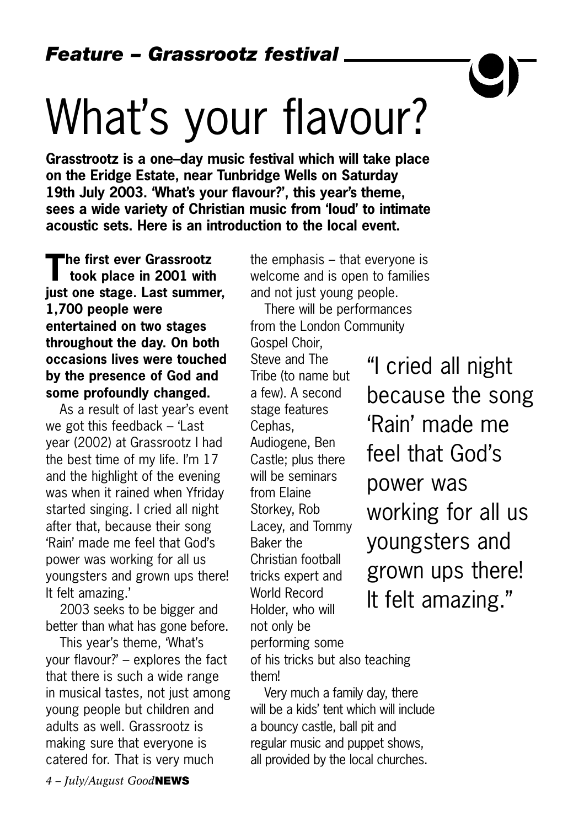# What's your flavour?

**Grasstrootz is a one–day music festival which will take place on the Eridge Estate, near Tunbridge Wells on Saturday 19th July 2003. 'What's your flavour?', this year's theme, sees a wide variety of Christian music from 'loud' to intimate acoustic sets. Here is an introduction to the local event.**

**The first ever Grassrootz took place in 2001 with just one stage. Last summer, 1,700 people were entertained on two stages throughout the day. On both occasions lives were touched by the presence of God and some profoundly changed.**

As a result of last year's event we got this feedback – 'Last year (2002) at Grassrootz I had the best time of my life. I'm 17 and the highlight of the evening was when it rained when Yfriday started singing. I cried all night after that, because their song 'Rain' made me feel that God's power was working for all us youngsters and grown ups there! It felt amazing.'

2003 seeks to be bigger and better than what has gone before.

This year's theme, 'What's your flavour?' – explores the fact that there is such a wide range in musical tastes, not just among young people but children and adults as well. Grassrootz is making sure that everyone is catered for. That is very much

the emphasis – that everyone is welcome and is open to families and not just young people.

There will be performances from the London Community

Gospel Choir,

Steve and The Tribe (to name but a few). A second stage features Cephas, Audiogene, Ben Castle; plus there will be seminars from Elaine Storkey, Rob Lacey, and Tommy Baker the Christian football tricks expert and World Record Holder, who will not only be performing some

of his tricks but also teaching them!

Very much a family day, there will be a kids' tent which will include a bouncy castle, ball pit and regular music and puppet shows, all provided by the local churches.

"I cried all night because the song 'Rain' made me feel that God's power was working for all us youngsters and grown ups there! It felt amazing."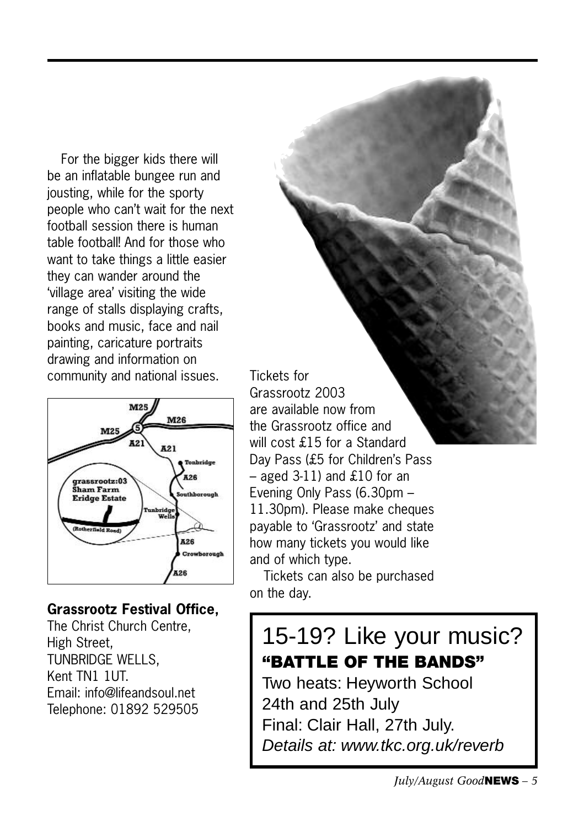For the bigger kids there will be an inflatable bungee run and jousting, while for the sporty people who can't wait for the next football session there is human table football! And for those who want to take things a little easier they can wander around the 'village area' visiting the wide range of stalls displaying crafts, books and music, face and nail painting, caricature portraits drawing and information on community and national issues.



### **Grassrootz Festival Office,**

The Christ Church Centre, High Street, TUNBRIDGE WELLS, Kent TN1 1UT. Email: info@lifeandsoul.net Telephone: 01892 529505 Tickets for Grassrootz 2003 are available now from the Grassrootz office and will cost £15 for a Standard Day Pass (£5 for Children's Pass  $-$  aged 3-11) and £10 for an Evening Only Pass (6.30pm – 11.30pm). Please make cheques payable to 'Grassrootz' and state how many tickets you would like and of which type.

Tickets can also be purchased on the day.

## 15-19? Like your music? **"BATTLE OF THE BANDS"**

Two heats: Heyworth School 24th and 25th July Final: Clair Hall, 27th July. Details at: www.tkc.org.uk/reverb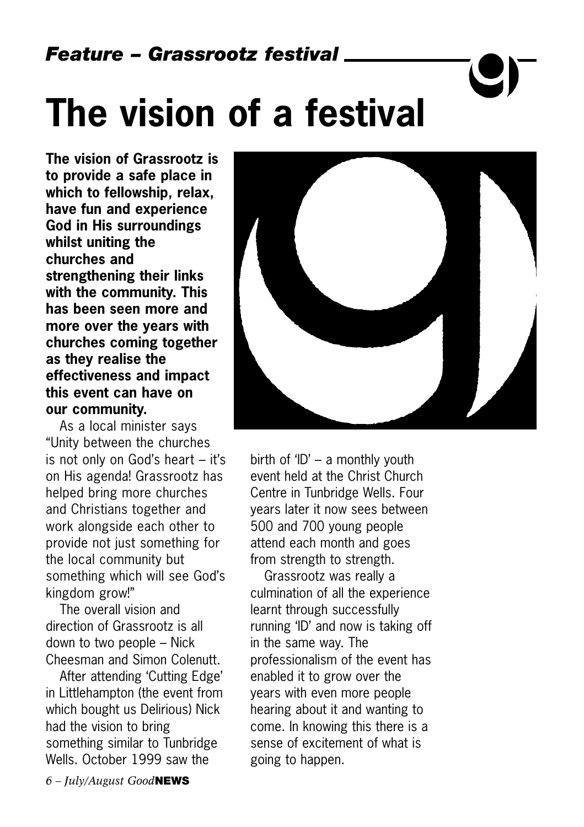# **The vision of a festival**

**The vision of Grassrootz is to provide a safe place in which to fellowship, relax, have fun and experience God in His surroundings whilst uniting the churches and strengthening their links with the community. This has been seen more and more over the years with churches coming together as they realise the effectiveness and impact this event can have on our community.**

As a local minister says "Unity between the churches is not only on God's heart – it's on His agenda! Grassrootz has helped bring more churches and Christians together and work alongside each other to provide not just something for the local community but something which will see God's kingdom grow!"

The overall vision and direction of Grassrootz is all down to two people – Nick Cheesman and Simon Colenutt.

After attending 'Cutting Edge' in Littlehampton (the event from which bought us Delirious) Nick had the vision to bring something similar to Tunbridge Wells. October 1999 saw the



birth of 'ID' – a monthly youth event held at the Christ Church Centre in Tunbridge Wells. Four years later it now sees between 500 and 700 young people attend each month and goes from strength to strength.

Grassrootz was really a culmination of all the experience learnt through successfully running 'ID' and now is taking off in the same way. The professionalism of the event has enabled it to grow over the years with even more people hearing about it and wanting to come. In knowing this there is a sense of excitement of what is going to happen.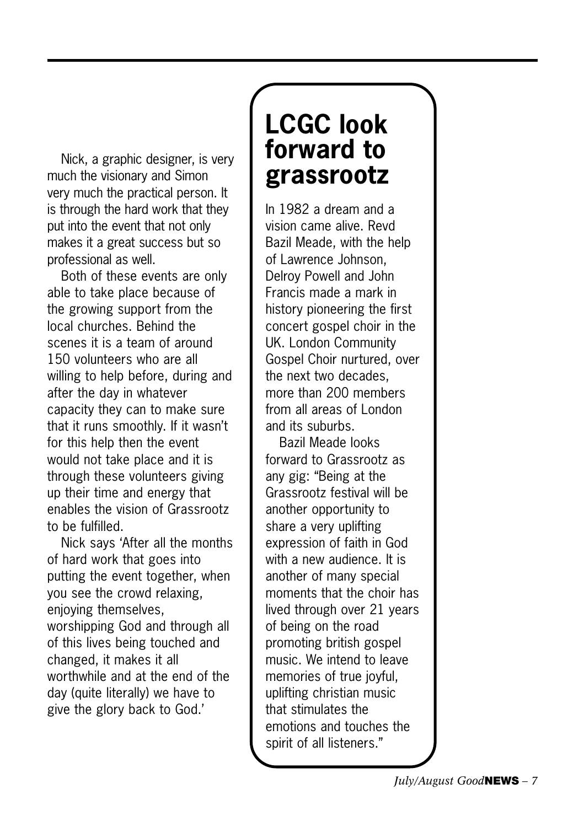Nick, a graphic designer, is very much the visionary and Simon very much the practical person. It is through the hard work that they put into the event that not only makes it a great success but so professional as well.

Both of these events are only able to take place because of the growing support from the local churches. Behind the scenes it is a team of around 150 volunteers who are all willing to help before, during and after the day in whatever capacity they can to make sure that it runs smoothly. If it wasn't for this help then the event would not take place and it is through these volunteers giving up their time and energy that enables the vision of Grassrootz to be fulfilled.

Nick says 'After all the months of hard work that goes into putting the event together, when you see the crowd relaxing, enjoying themselves, worshipping God and through all of this lives being touched and changed, it makes it all worthwhile and at the end of the day (quite literally) we have to give the glory back to God.'

# **LCGC look forward to grassrootz**

In 1982 a dream and a vision came alive. Revd Bazil Meade, with the help of Lawrence Johnson, Delroy Powell and John Francis made a mark in history pioneering the first concert gospel choir in the UK. London Community Gospel Choir nurtured, over the next two decades, more than 200 members from all areas of London and its suburbs.

Bazil Meade looks forward to Grassrootz as any gig: "Being at the Grassrootz festival will be another opportunity to share a very uplifting expression of faith in God with a new audience. It is another of many special moments that the choir has lived through over 21 years of being on the road promoting british gospel music. We intend to leave memories of true joyful, uplifting christian music that stimulates the emotions and touches the spirit of all listeners."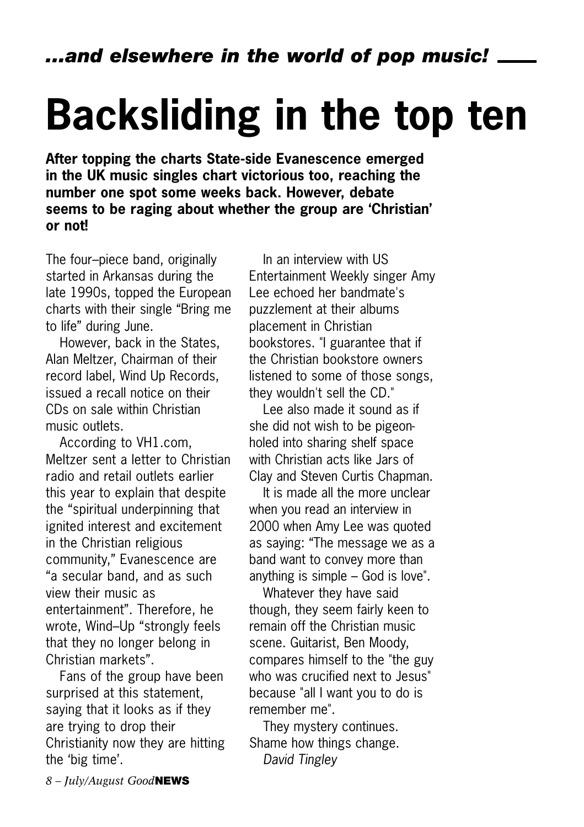# **Backsliding in the top ten**

**After topping the charts State-side Evanescence emerged in the UK music singles chart victorious too, reaching the number one spot some weeks back. However, debate seems to be raging about whether the group are 'Christian' or not!**

The four–piece band, originally started in Arkansas during the late 1990s, topped the European charts with their single "Bring me to life" during June.

However, back in the States, Alan Meltzer, Chairman of their record label, Wind Up Records, issued a recall notice on their CDs on sale within Christian music outlets.

According to VH1.com, Meltzer sent a letter to Christian radio and retail outlets earlier this year to explain that despite the "spiritual underpinning that ignited interest and excitement in the Christian religious community," Evanescence are "a secular band, and as such view their music as entertainment". Therefore, he wrote, Wind–Up "strongly feels that they no longer belong in Christian markets".

Fans of the group have been surprised at this statement, saying that it looks as if they are trying to drop their Christianity now they are hitting the 'big time'.

In an interview with US Entertainment Weekly singer Amy Lee echoed her bandmate's puzzlement at their albums placement in Christian bookstores. "I guarantee that if the Christian bookstore owners listened to some of those songs, they wouldn't sell the CD."

Lee also made it sound as if she did not wish to be pigeonholed into sharing shelf space with Christian acts like Jars of Clay and Steven Curtis Chapman.

It is made all the more unclear when you read an interview in 2000 when Amy Lee was quoted as saying: "The message we as a band want to convey more than anything is simple – God is love".

Whatever they have said though, they seem fairly keen to remain off the Christian music scene. Guitarist, Ben Moody, compares himself to the "the guy who was crucified next to Jesus" because "all I want you to do is remember me".

They mystery continues. Shame how things change. *David Tingley*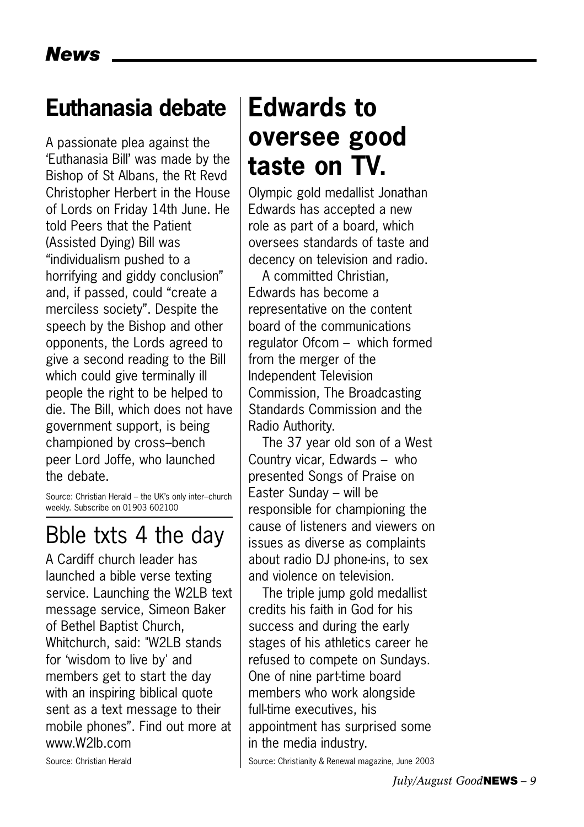## **Euthanasia debate**

A passionate plea against the 'Euthanasia Bill' was made by the Bishop of St Albans, the Rt Revd Christopher Herbert in the House of Lords on Friday 14th June. He told Peers that the Patient (Assisted Dying) Bill was "individualism pushed to a horrifying and giddy conclusion" and, if passed, could "create a merciless society". Despite the speech by the Bishop and other opponents, the Lords agreed to give a second reading to the Bill which could give terminally ill people the right to be helped to die. The Bill, which does not have government support, is being championed by cross–bench peer Lord Joffe, who launched the debate.

Source: Christian Herald – the UK's only inter–church weekly. Subscribe on 01903 602100

## Bble txts 4 the day

A Cardiff church leader has launched a bible verse texting service. Launching the W2LB text message service, Simeon Baker of Bethel Baptist Church, Whitchurch, said: "W2LB stands for 'wisdom to live by' and members get to start the day with an inspiring biblical quote sent as a text message to their mobile phones". Find out more at www.W2lb.com

# **Edwards to oversee good taste on TV.**

Olympic gold medallist Jonathan Edwards has accepted a new role as part of a board, which oversees standards of taste and decency on television and radio.

A committed Christian, Edwards has become a representative on the content board of the communications regulator Ofcom – which formed from the merger of the Independent Television Commission, The Broadcasting Standards Commission and the Radio Authority.

The 37 year old son of a West Country vicar, Edwards – who presented Songs of Praise on Easter Sunday – will be responsible for championing the cause of listeners and viewers on issues as diverse as complaints about radio DJ phone-ins, to sex and violence on television.

The triple jump gold medallist credits his faith in God for his success and during the early stages of his athletics career he refused to compete on Sundays. One of nine part-time board members who work alongside full-time executives, his appointment has surprised some in the media industry.

Source: Christianity & Renewal magazine, June 2003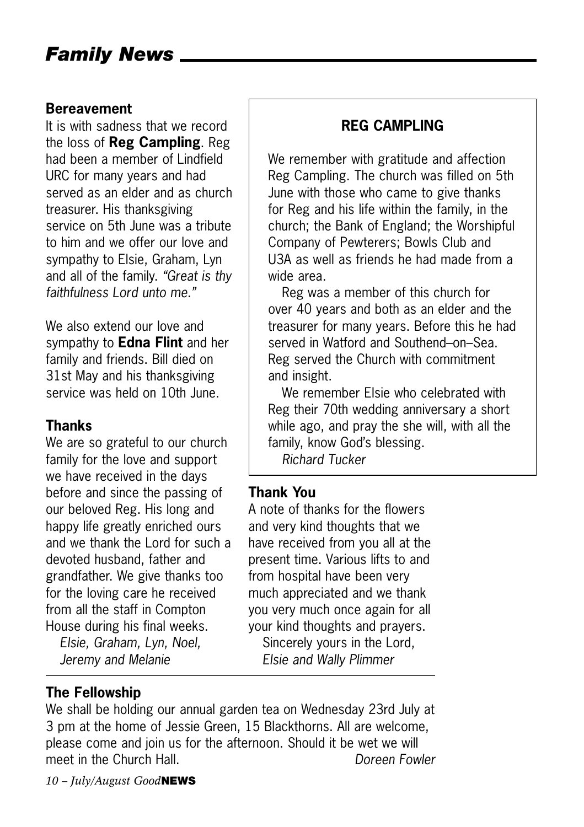#### **Bereavement**

It is with sadness that we record the loss of **Reg Campling**. Reg had been a member of Lindfield URC for many years and had served as an elder and as church treasurer. His thanksgiving service on 5th June was a tribute to him and we offer our love and sympathy to Elsie, Graham, Lyn and all of the family. *"Great is thy faithfulness Lord unto me."*

We also extend our love and sympathy to **Edna Flint** and her family and friends. Bill died on 31st May and his thanksgiving service was held on 10th June.

### **Thanks**

We are so grateful to our church family for the love and support we have received in the days before and since the passing of our beloved Reg. His long and happy life greatly enriched ours and we thank the Lord for such a devoted husband, father and grandfather. We give thanks too for the loving care he received from all the staff in Compton House during his final weeks.

*Elsie, Graham, Lyn, Noel, Jeremy and Melanie*

### **REG CAMPLING**

We remember with gratitude and affection Reg Campling. The church was filled on 5th June with those who came to give thanks for Reg and his life within the family, in the church; the Bank of England; the Worshipful Company of Pewterers; Bowls Club and U3A as well as friends he had made from a wide area.

Reg was a member of this church for over 40 years and both as an elder and the treasurer for many years. Before this he had served in Watford and Southend–on–Sea. Reg served the Church with commitment and insight.

We remember Elsie who celebrated with Reg their 70th wedding anniversary a short while ago, and pray the she will, with all the family, know God's blessing.

*Richard Tucker*

### **Thank You**

A note of thanks for the flowers and very kind thoughts that we have received from you all at the present time. Various lifts to and from hospital have been very much appreciated and we thank you very much once again for all your kind thoughts and prayers. Sincerely yours in the Lord,

*Elsie and Wally Plimmer*

### **The Fellowship**

We shall be holding our annual garden tea on Wednesday 23rd July at 3 pm at the home of Jessie Green, 15 Blackthorns. All are welcome, please come and join us for the afternoon. Should it be wet we will meet in the Church Hall. *Doreen Fowler*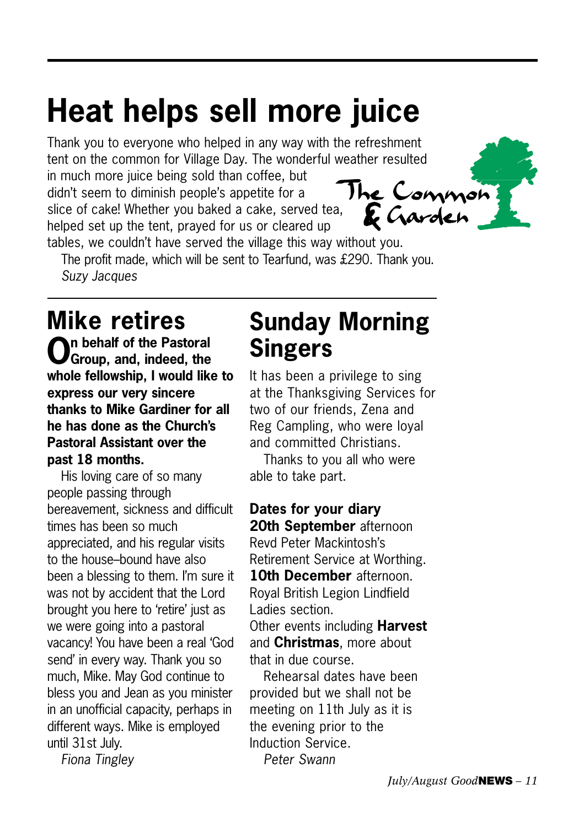# **Heat helps sell more juice**

Thank you to everyone who helped in any way with the refreshment tent on the common for Village Day. The wonderful weather resulted

in much more juice being sold than coffee, but didn't seem to diminish people's appetite for a slice of cake! Whether you baked a cake, served tea, helped set up the tent, prayed for us or cleared up



tables, we couldn't have served the village this way without you. The profit made, which will be sent to Tearfund, was £290. Thank you. *Suzy Jacques*

# **Mike retires**

**On behalf of the Pastoral Group, and, indeed, the whole fellowship, I would like to express our very sincere thanks to Mike Gardiner for all he has done as the Church's Pastoral Assistant over the past 18 months.** 

His loving care of so many people passing through bereavement, sickness and difficult times has been so much appreciated, and his regular visits to the house–bound have also been a blessing to them. I'm sure it was not by accident that the Lord brought you here to 'retire' just as we were going into a pastoral vacancy! You have been a real 'God send' in every way. Thank you so much, Mike. May God continue to bless you and Jean as you minister in an unofficial capacity, perhaps in different ways. Mike is employed until 31st July.

*Fiona Tingley*

# **Sunday Morning Singers**

It has been a privilege to sing at the Thanksgiving Services for two of our friends, Zena and Reg Campling, who were loyal and committed Christians.

Thanks to you all who were able to take part.

**Dates for your diary 20th September** afternoon Revd Peter Mackintosh's Retirement Service at Worthing. **10th December** afternoon. Royal British Legion Lindfield Ladies section. Other events including **Harvest** and **Christmas**, more about

that in due course.

Rehearsal dates have been provided but we shall not be meeting on 11th July as it is the evening prior to the Induction Service. *Peter Swann*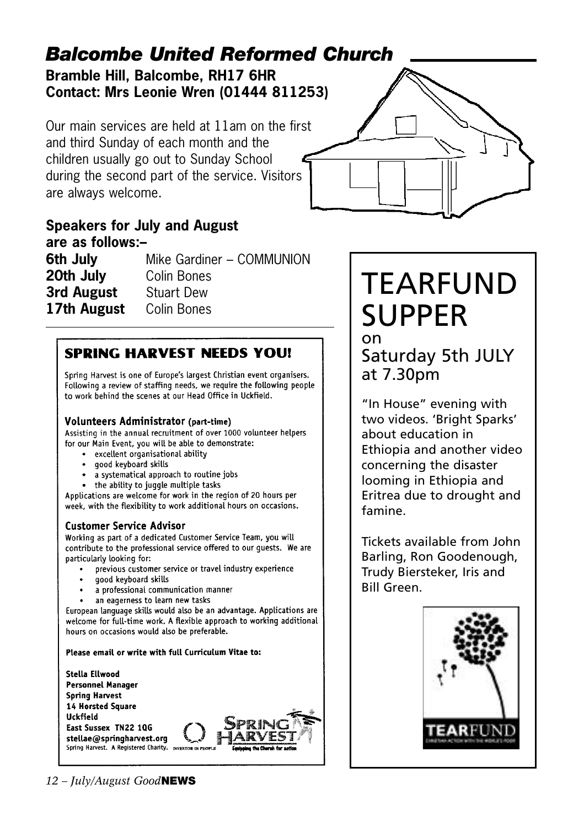### **Bramble Hill, Balcombe, RH17 6HR Contact: Mrs Leonie Wren (01444 811253)** *Balcombe United Reformed Church*

Our main services are held at 11am on the first and third Sunday of each month and the children usually go out to Sunday School during the second part of the service. Visitors are always welcome.



### **Speakers for July and August are as follows:–**

**6th July** Mike Gardiner – COMMUNION **20th July** Colin Bones **3rd August** Stuart Dew 17th August Colin Bones

### **SPRING HARVEST NEEDS YOU!**

Spring Harvest is one of Europe's largest Christian event organisers. Following a review of staffing needs, we require the following people to work behind the scenes at our Head Office in Uckfield.

#### **Volunteers Administrator (part-time)**

Assisting in the annual recruitment of over 1000 volunteer helpers for our Main Event, you will be able to demonstrate:

- excellent organisational ability
- · good keyboard skills
- a systematical approach to routine jobs
- the ability to juggle multiple tasks

Applications are welcome for work in the region of 20 hours per week, with the flexibility to work additional hours on occasions.

#### **Customer Service Advisor**

Working as part of a dedicated Customer Service Team, you will contribute to the professional service offered to our guests. We are particularly looking for:

- previous customer service or travel industry experience
- qood keyboard skills
- a professional communication manner
- an eagerness to learn new tasks

European language skills would also be an advantage. Applications are welcome for full-time work. A flexible approach to working additional hours on occasions would also be preferable.

Please email or write with full Curriculum Vitae to:



# TEARFUND SUPPER on

### Saturday 5th JULY at 7.30pm

"In House" evening with two videos. 'Bright Sparks' about education in Ethiopia and another video concerning the disaster looming in Ethiopia and Eritrea due to drought and famine.

Tickets available from John Barling, Ron Goodenough, Trudy Biersteker, Iris and Bill Green.

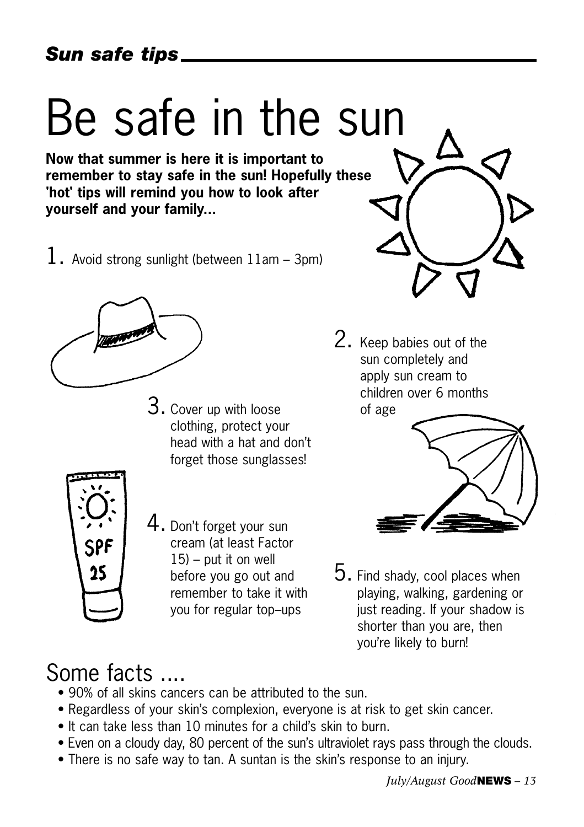# Be safe in the sun

**Now that summer is here it is important to remember to stay safe in the sun! Hopefully these 'hot' tips will remind you how to look after yourself and your family...**

1. Avoid strong sunlight (between  $11$ am – 3pm)



3. Cover up with loose clothing, protect your head with a hat and don't forget those sunglasses!



4. Don't forget your sun cream (at least Factor  $15$ ) – put it on well before you go out and remember to take it with you for regular top–ups



2. Keep babies out of the sun completely and apply sun cream to children over 6 months of age



5. Find shady, cool places when playing, walking, gardening or just reading. If your shadow is shorter than you are, then you're likely to burn!

# Some facts ....

- 90% of all skins cancers can be attributed to the sun.
- Regardless of your skin's complexion, everyone is at risk to get skin cancer.
- It can take less than 10 minutes for a child's skin to burn.
- Even on a cloudy day, 80 percent of the sun's ultraviolet rays pass through the clouds.
- There is no safe way to tan. A suntan is the skin's response to an injury.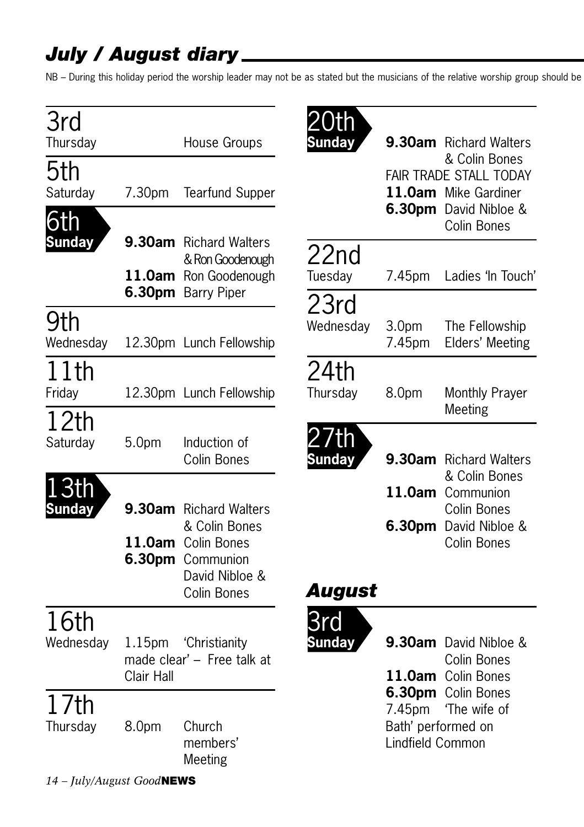## *July / August diary*

NB – During this holiday period the worship leader may not be as stated but the musicians of the relative worship group should be

| 3rd<br>Thursday        |                                  | House Groups                                                                                                              | ()th<br>Sunday       |                                                  | 9.30am Richard Walters                                                                                  |
|------------------------|----------------------------------|---------------------------------------------------------------------------------------------------------------------------|----------------------|--------------------------------------------------|---------------------------------------------------------------------------------------------------------|
| 5th<br>Saturday<br>6th | 7.30pm                           | <b>Tearfund Supper</b>                                                                                                    |                      |                                                  | & Colin Bones<br>FAIR TRADE STALL TODAY<br>11.0am Mike Gardiner<br>6.30pm David Nibloe &<br>Colin Bones |
| <b>Sunday</b>          |                                  | <b>9.30am</b> Richard Walters<br>& Ron Goodenough<br>11.0am Ron Goodenough<br>6.30pm Barry Piper                          | 22nd<br>Tuesday      | 7.45pm                                           | Ladies 'In Touch'                                                                                       |
| 9th<br>Wednesday       |                                  | 12.30pm Lunch Fellowship                                                                                                  | 23rd<br>Wednesday    | 3.0 <sub>pm</sub><br>7.45pm                      | The Fellowship<br>Elders' Meeting                                                                       |
| 11th<br>Friday         |                                  | 12.30pm Lunch Fellowship                                                                                                  | 24th<br>Thursday     | 8.0pm                                            | Monthly Prayer<br>Meeting                                                                               |
| 12th<br>Saturday       | 5.0 <sub>pm</sub>                | Induction of<br>Colin Bones                                                                                               | /th<br><b>Sunday</b> |                                                  | 9.30am Richard Walters<br>& Colin Bones                                                                 |
| 3th<br><b>Sunday</b>   |                                  | <b>9.30am</b> Richard Walters<br>& Colin Bones<br>11.0am Colin Bones<br>6.30pm Communion<br>David Nibloe &<br>Colin Bones | August               |                                                  | 11.0am Communion<br><b>Colin Bones</b><br>6.30pm David Nibloe &<br><b>Colin Bones</b>                   |
| 16th<br>Wednesday      | 1.15 <sub>pm</sub><br>Clair Hall | 'Christianity<br>made clear' - Free talk at                                                                               | 3rd<br><b>Sunday</b> |                                                  | 9.30am David Nibloe &<br>Colin Bones<br>11.0am Colin Bones                                              |
| 17th<br>Thursday       | 8.0pm                            | Church<br>members'<br>Meeting                                                                                             |                      | 7.45pm<br>Bath' performed on<br>Lindfield Common | 6.30pm Colin Bones<br>'The wife of                                                                      |
|                        |                                  |                                                                                                                           |                      |                                                  |                                                                                                         |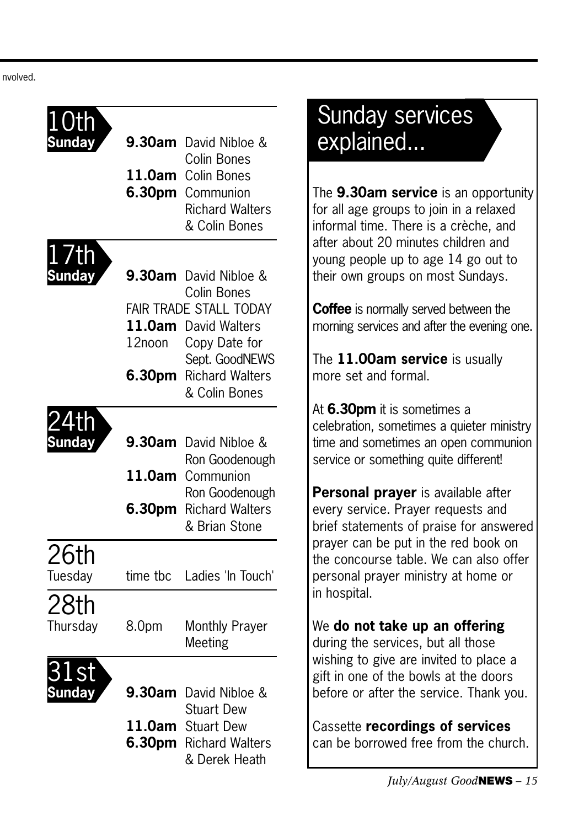nvolved.

| <b>undav</b> | 9.30am           | David Nibloe &<br>Colin Bones               |
|--------------|------------------|---------------------------------------------|
|              | 11.0am           | Colin Bones                                 |
|              | 6.30pm           | Communion                                   |
|              |                  | <b>Richard Walters</b>                      |
|              |                  | & Colin Bones                               |
| /th          |                  |                                             |
|              | 9.30am           | David Nibloe &<br>Colin Bones               |
|              |                  | <b>FAIR TRADE STALL TODAY</b>               |
|              | 11.0am           | <b>David Walters</b>                        |
|              | 12noon           | Copy Date for                               |
|              |                  | Sept. GoodNEWS                              |
|              | 6.30pm           | <b>Richard Walters</b><br>& Colin Bones     |
|              |                  |                                             |
|              |                  |                                             |
| <b>Inday</b> | 9.30am           | David Nibloe &                              |
|              | 11.0am           | Ron Goodenough<br>Communion                 |
|              |                  | Ron Goodenough                              |
|              | 6.30pm           | <b>Richard Walters</b>                      |
|              |                  | & Brian Stone                               |
| 26th         |                  |                                             |
| Tuesday      | time tbc         | Ladies 'In Touch'                           |
|              |                  |                                             |
| 28th         |                  |                                             |
| Thursday     | 8.0pm            | Monthly Prayer<br>Meeting                   |
|              |                  |                                             |
|              |                  |                                             |
| unday        | 9.30am           | David Nibloe &                              |
|              |                  | <b>Stuart Dew</b>                           |
|              | 11.0am<br>6.30pm | <b>Stuart Dew</b><br><b>Richard Walters</b> |
|              |                  | & Derek Heath                               |
|              |                  |                                             |

# Sunday services explained...

The **9.30am service** is an opportunity for all age groups to join in a relaxed informal time. There is a crèche, and after about 20 minutes children and young people up to age 14 go out to their own groups on most Sundays.

**Coffee** is normally served between the morning services and after the evening one.

The **11.00am service** is usually more set and formal.

At **6.30pm** it is sometimes a celebration, sometimes a quieter ministry time and sometimes an open communion service or something quite different!

**Personal prayer** is available after every service. Prayer requests and brief statements of praise for answered prayer can be put in the red book on the concourse table. We can also offer personal prayer ministry at home or in hospital.

### We **do not take up an offering** during the services, but all those

wishing to give are invited to place a gift in one of the bowls at the doors before or after the service. Thank you.

Cassette **recordings of services** can be borrowed free from the church.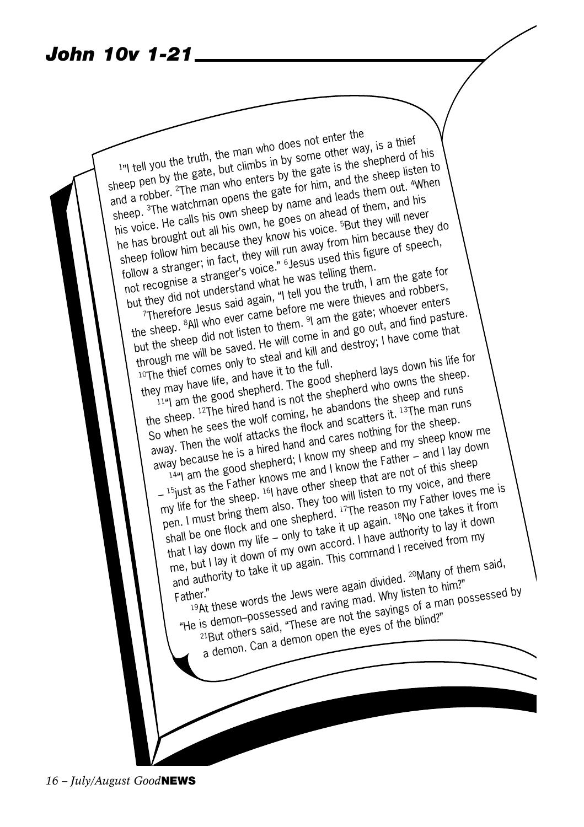### *John 10v 1-21*

The truth, the man who does not enter the<br>I'll you the truth, the man who does not enter way sheep pen by the gate, but climbs in by some other way, is a thief <sup>1</sup>/<sup>1</sup>] tell you the truth, the man who since other way, the shepherd of his shepper by the gate, but climbs in by some difference is the shepper of his shepper  $\frac{2}{\pi}$ . The man who enters by the gate is the shepp lis  $\frac{1}{1}$  tell you are gate, but climbs  $\frac{1}{1}$  by the gate is the sheep listen to heep pen by the gate for him, and the sheep listen to and a robber. The man who enters by the gate for him, and the sheep listen out.  $\$ heep per by 2.<br>
In a robber. <sup>2</sup>The man who ences the gate for him, and the per out. 4Wh<br>
sheep. <sup>3</sup>The watchman opens the gate for him, and his<br>
sheep. <sup>3</sup>The calls his own sheep by name and leads them, and his<br>
his voice When he has brought out all his own, he goes on ahead of them, and his sheep follow him because they know his voice. <sup>5</sup>But they will never<br>sheep follow him because they know his voice. <sup>5</sup>But they will never<br>follow a stranger; in fact, they will run away from him because they<br>follow a strang is voice. He can out all his own, he good.<br>He has brought out all his own, he good his voice. But they will research is<br>sheep follow him because they will run away from him because they do<br>follow a stranger's voice." be w not recognise a stranger's voice." Slesus used this figure of speech, but a strailer, manger's voice.<br>
Yout recognise a stranger's voice.<br>
but they did not understand what he was telling them. I am the gate for<br>
I am the gate; whoever enters<br>
Therefore Jesus said again, "I tell you the truth of recognise<br>they did not understand what "I tell you the trull", I am robbers,<br>Therefore Jesus said again, "I tell you the were thieves and robbers,<br>the sheep. <sup>8</sup>All who ever came before me were thieves whoever enters<br>th the sheep did not listen to them. 9 am the gate; whoever enters but the sheep did not listen to them. 9 am the gate; whoever enters through me will be saved. He will come in and go out, and find pasture.<br>
through me will be saved. He will come in and go out, and find pasture.<br>
10The thief comes only to steal and kill and destroy; I have come that<br>
they Implement the vill be pursuaded and kill and destroy; I have come that they may have it to the good shepherd lays down his life for the sheep. 12The hired hand is not the shepherd who owns the sheep. So when he sees the wolf coming, he abandons the sheep and runs away. Then the wolf attacks the flock and scatters it. 13The man runs away. Then the wolf attacks the flock and scatters it. away because he is a hired hand and cares nothing for the sheep. 14"I am the good shepherd; I know my sheep and my sheep know me  $-$  15 just as the Father knows me and I know the Father – and I lay down my life for the sheep. 16I have other sheep that are not of this sheep pen. I must bring them also. They too will listen to my voice, and there pen. I must bring them also. They too beth I must print and one shepherd. 17The reason my Father loves me is shall be one flock and one shepherd. that I lay down my life – only to take it up again. <sup>18</sup>No one takes it from me, but I lay it down of my own accord. I have authority to lay it down me, but I lay it down of my own accord. I have and authority to take it up again. This command I received from my<br>Father." First state it up again. This command I received from my<br>Father." First state the Jews were again divided. 20 Many of them s "He is demon-possessed and raving mad. Why listen to him?"  $19$ At these words the Jews were again divided. <sup>20</sup>Many of them said, "He is demonstration and rading made. Why listen to him?" 21But others said, "These are not the sayings of a man possessed by a demon. Can a demon open the eyes of the blind?"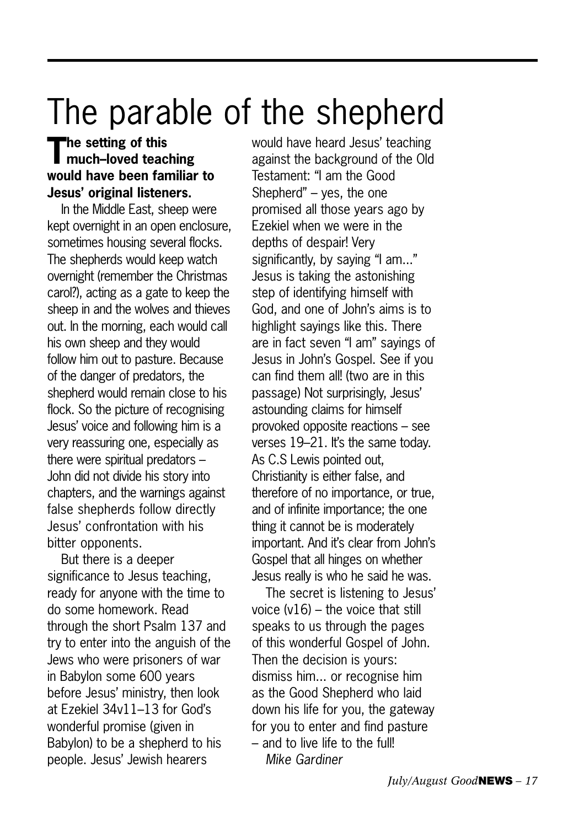# The parable of the shepherd

### **The setting of this much–loved teaching would have been familiar to Jesus' original listeners.**

In the Middle East, sheep were kept overnight in an open enclosure, sometimes housing several flocks. The shepherds would keep watch overnight (remember the Christmas carol?), acting as a gate to keep the sheep in and the wolves and thieves out. In the morning, each would call his own sheep and they would follow him out to pasture. Because of the danger of predators, the shepherd would remain close to his flock. So the picture of recognising Jesus' voice and following him is a very reassuring one, especially as there were spiritual predators – John did not divide his story into chapters, and the warnings against false shepherds follow directly Jesus' confrontation with his bitter opponents.

But there is a deeper significance to Jesus teaching, ready for anyone with the time to do some homework. Read through the short Psalm 137 and try to enter into the anguish of the Jews who were prisoners of war in Babylon some 600 years before Jesus' ministry, then look at Ezekiel 34v11–13 for God's wonderful promise (given in Babylon) to be a shepherd to his people. Jesus' Jewish hearers

would have heard Jesus' teaching against the background of the Old Testament: "I am the Good Shepherd" – yes, the one promised all those years ago by Ezekiel when we were in the depths of despair! Very significantly, by saying "I am..." Jesus is taking the astonishing step of identifying himself with God, and one of John's aims is to highlight sayings like this. There are in fact seven "I am" sayings of Jesus in John's Gospel. See if you can find them all! (two are in this passage) Not surprisingly, Jesus' astounding claims for himself provoked opposite reactions – see verses 19–21. It's the same today. As C.S Lewis pointed out, Christianity is either false, and therefore of no importance, or true, and of infinite importance; the one thing it cannot be is moderately important. And it's clear from John's Gospel that all hinges on whether Jesus really is who he said he was.

The secret is listening to Jesus' voice (v16) – the voice that still speaks to us through the pages of this wonderful Gospel of John. Then the decision is yours: dismiss him... or recognise him as the Good Shepherd who laid down his life for you, the gateway for you to enter and find pasture – and to live life to the full! *Mike Gardiner*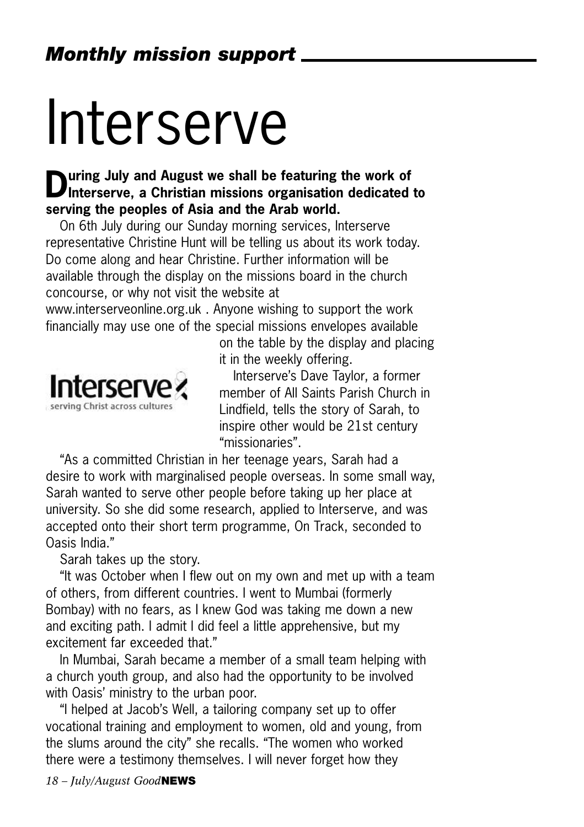# Interserve

## **During July and August we shall be featuring the work of Interserve, a Christian missions organisation dedicated to serving the peoples of Asia and the Arab world.**

On 6th July during our Sunday morning services, Interserve representative Christine Hunt will be telling us about its work today. Do come along and hear Christine. Further information will be available through the display on the missions board in the church concourse, or why not visit the website at

www.interserveonline.org.uk . Anyone wishing to support the work financially may use one of the special missions envelopes available



on the table by the display and placing it in the weekly offering.

Interserve's Dave Taylor, a former member of All Saints Parish Church in Lindfield, tells the story of Sarah, to inspire other would be 21st century "missionaries".

"As a committed Christian in her teenage years, Sarah had a desire to work with marginalised people overseas. In some small way, Sarah wanted to serve other people before taking up her place at university. So she did some research, applied to Interserve, and was accepted onto their short term programme, On Track, seconded to Oasis India."

Sarah takes up the story.

"It was October when I flew out on my own and met up with a team of others, from different countries. I went to Mumbai (formerly Bombay) with no fears, as I knew God was taking me down a new and exciting path. I admit I did feel a little apprehensive, but my excitement far exceeded that."

In Mumbai, Sarah became a member of a small team helping with a church youth group, and also had the opportunity to be involved with Oasis' ministry to the urban poor.

"I helped at Jacob's Well, a tailoring company set up to offer vocational training and employment to women, old and young, from the slums around the city" she recalls. "The women who worked there were a testimony themselves. I will never forget how they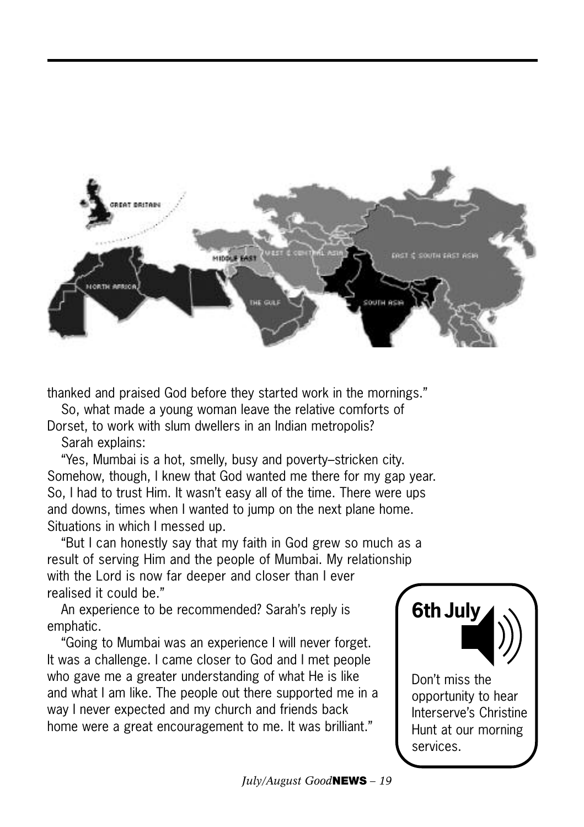

thanked and praised God before they started work in the mornings."

So, what made a young woman leave the relative comforts of

Dorset, to work with slum dwellers in an Indian metropolis? Sarah explains:

"Yes, Mumbai is a hot, smelly, busy and poverty–stricken city. Somehow, though, I knew that God wanted me there for my gap year. So, I had to trust Him. It wasn't easy all of the time. There were ups and downs, times when I wanted to jump on the next plane home. Situations in which I messed up.

"But I can honestly say that my faith in God grew so much as a result of serving Him and the people of Mumbai. My relationship with the Lord is now far deeper and closer than I ever realised it could be."

An experience to be recommended? Sarah's reply is emphatic.

"Going to Mumbai was an experience I will never forget. It was a challenge. I came closer to God and I met people who gave me a greater understanding of what He is like and what I am like. The people out there supported me in a way I never expected and my church and friends back home were a great encouragement to me. It was brilliant."



opportunity to hear Interserve's Christine Hunt at our morning services.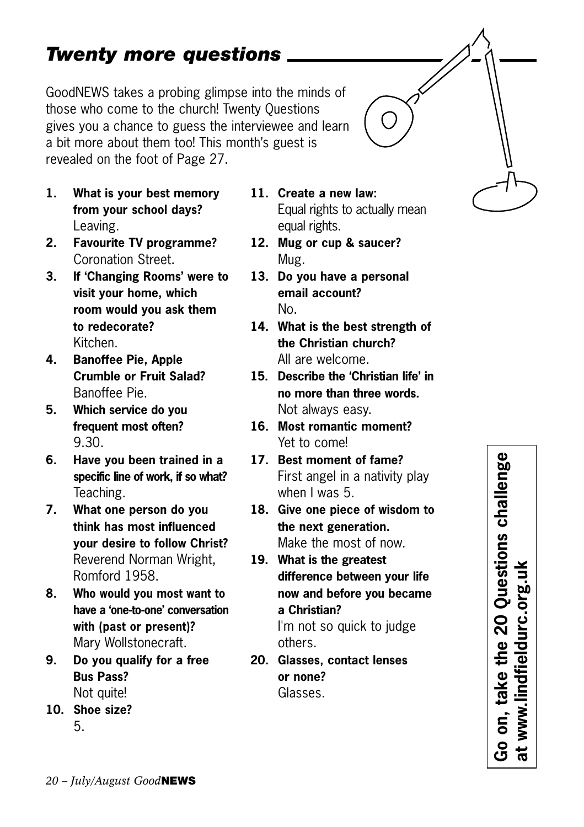## *Twenty more questions*

GoodNEWS takes a probing glimpse into the minds of those who come to the church! Twenty Questions gives you a chance to guess the interviewee and learn a bit more about them too! This month's guest is revealed on the foot of Page 27.

- **1. What is your best memory from your school days?** Leaving.
- **2. Favourite TV programme?** Coronation Street.
- **3. If 'Changing Rooms' were to visit your home, which room would you ask them to redecorate?** Kitchen.
- **4. Banoffee Pie, Apple Crumble or Fruit Salad?** Banoffee Pie.
- **5. Which service do you frequent most often?** 9.30.
- **6. Have you been trained in a specific line of work, if so what?** Teaching.
- **7. What one person do you think has most influenced your desire to follow Christ?** Reverend Norman Wright, Romford 1958.
- **8. Who would you most want to have a 'one-to-one' conversation with (past or present)?** Mary Wollstonecraft.
- **9. Do you qualify for a free Bus Pass?** Not quite!
- **10. Shoe size?** 5.
- **11. Create a new law:** Equal rights to actually mean equal rights.
- **12. Mug or cup & saucer?** Mug.
- **13. Do you have a personal email account?** No.
- **14. What is the best strength of the Christian church?** All are welcome.
- **15. Describe the 'Christian life' in no more than three words.** Not always easy.
- **16. Most romantic moment?** Yet to come!
- **17. Best moment of fame?** First angel in a nativity play when I was 5.
- **18. Give one piece of wisdom to the next generation.** Make the most of now.
- **19. What is the greatest difference between your life now and before you became a Christian?**

I'm not so quick to judge others.

**20. Glasses, contact lenses or none?** Glasses.

Go on, take the 20 Questions challenge<br>at www.lindfieldurc.org.uk **Go on, take the 20 Questions challenge at www.lindfieldurc.org.uk**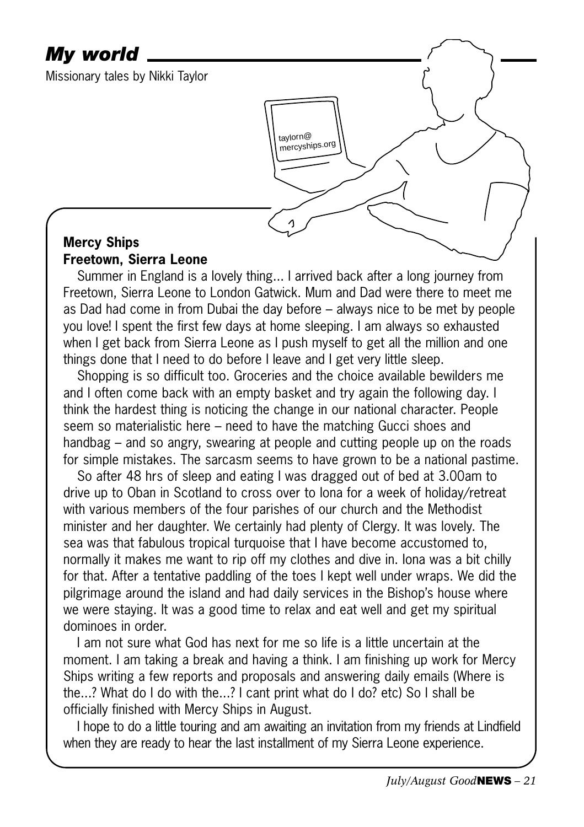### *My world*

Missionary tales by Nikki Taylor

### **Mercy Ships Freetown, Sierra Leone**

Summer in England is a lovely thing... I arrived back after a long journey from Freetown, Sierra Leone to London Gatwick. Mum and Dad were there to meet me as Dad had come in from Dubai the day before – always nice to be met by people you love! I spent the first few days at home sleeping. I am always so exhausted when I get back from Sierra Leone as I push myself to get all the million and one things done that I need to do before I leave and I get very little sleep.

taylorn@ mercyships.org

Shopping is so difficult too. Groceries and the choice available bewilders me and I often come back with an empty basket and try again the following day. I think the hardest thing is noticing the change in our national character. People seem so materialistic here – need to have the matching Gucci shoes and handbag – and so angry, swearing at people and cutting people up on the roads for simple mistakes. The sarcasm seems to have grown to be a national pastime.

So after 48 hrs of sleep and eating I was dragged out of bed at 3.00am to drive up to Oban in Scotland to cross over to Iona for a week of holiday/retreat with various members of the four parishes of our church and the Methodist minister and her daughter. We certainly had plenty of Clergy. It was lovely. The sea was that fabulous tropical turquoise that I have become accustomed to, normally it makes me want to rip off my clothes and dive in. Iona was a bit chilly for that. After a tentative paddling of the toes I kept well under wraps. We did the pilgrimage around the island and had daily services in the Bishop's house where we were staying. It was a good time to relax and eat well and get my spiritual dominoes in order.

I am not sure what God has next for me so life is a little uncertain at the moment. I am taking a break and having a think. I am finishing up work for Mercy Ships writing a few reports and proposals and answering daily emails (Where is the...? What do I do with the...? I cant print what do I do? etc) So I shall be officially finished with Mercy Ships in August.

I hope to do a little touring and am awaiting an invitation from my friends at Lindfield when they are ready to hear the last installment of my Sierra Leone experience.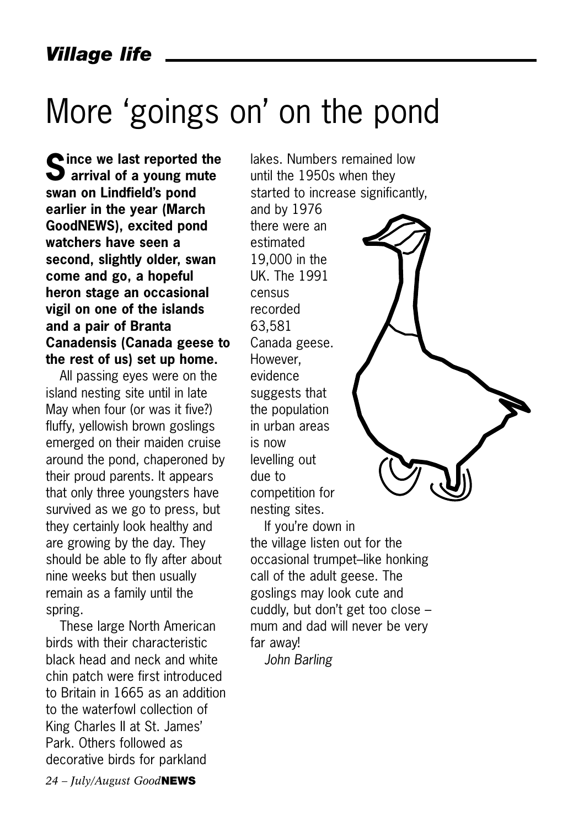# More 'goings on' on the pond

**Since we last reported the arrival of a young mute swan on Lindfield's pond earlier in the year (March GoodNEWS), excited pond watchers have seen a second, slightly older, swan come and go, a hopeful heron stage an occasional vigil on one of the islands and a pair of Branta Canadensis (Canada geese to the rest of us) set up home.**

All passing eyes were on the island nesting site until in late May when four (or was it five?) fluffy, yellowish brown goslings emerged on their maiden cruise around the pond, chaperoned by their proud parents. It appears that only three youngsters have survived as we go to press, but they certainly look healthy and are growing by the day. They should be able to fly after about nine weeks but then usually remain as a family until the spring.

These large North American birds with their characteristic black head and neck and white chin patch were first introduced to Britain in 1665 as an addition to the waterfowl collection of King Charles II at St. James' Park. Others followed as decorative birds for parkland

lakes. Numbers remained low until the 1950s when they started to increase significantly,

and by 1976 there were an estimated 19,000 in the UK. The 1991 census recorded 63,581 Canada geese. However, evidence suggests that the population in urban areas is now levelling out due to competition for nesting sites.

If you're down in the village listen out for the occasional trumpet–like honking call of the adult geese. The goslings may look cute and cuddly, but don't get too close – mum and dad will never be very far away!

*John Barling*

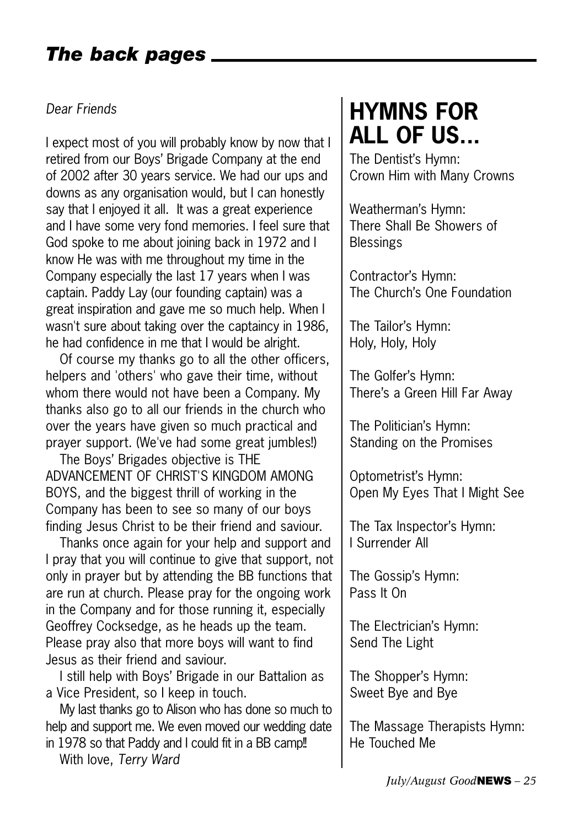### *The back pages*

#### *Dear Friends*

I expect most of you will probably know by now that I retired from our Boys' Brigade Company at the end of 2002 after 30 years service. We had our ups and downs as any organisation would, but I can honestly say that I enjoyed it all. It was a great experience and I have some very fond memories. I feel sure that God spoke to me about joining back in 1972 and I know He was with me throughout my time in the Company especially the last 17 years when I was captain. Paddy Lay (our founding captain) was a great inspiration and gave me so much help. When I wasn't sure about taking over the captaincy in 1986, he had confidence in me that I would be alright.

Of course my thanks go to all the other officers, helpers and 'others' who gave their time, without whom there would not have been a Company. My thanks also go to all our friends in the church who over the years have given so much practical and prayer support. (We've had some great jumbles!)

The Boys' Brigades objective is THE ADVANCEMENT OF CHRIST'S KINGDOM AMONG BOYS, and the biggest thrill of working in the Company has been to see so many of our boys finding Jesus Christ to be their friend and saviour.

Thanks once again for your help and support and I pray that you will continue to give that support, not only in prayer but by attending the BB functions that are run at church. Please pray for the ongoing work in the Company and for those running it, especially Geoffrey Cocksedge, as he heads up the team. Please pray also that more boys will want to find Jesus as their friend and saviour.

I still help with Boys' Brigade in our Battalion as a Vice President, so I keep in touch.

My last thanks go to Alison who has done so much to help and support me. We even moved our wedding date in 1978 so that Paddy and I could fit in a BB camp!

With love, *Terry Ward*

# **HYMNS FOR ALL OF US...**

The Dentist's Hymn: Crown Him with Many Crowns

Weatherman's Hymn: There Shall Be Showers of **Blessings** 

Contractor's Hymn: The Church's One Foundation

The Tailor's Hymn: Holy, Holy, Holy

The Golfer's Hymn: There's a Green Hill Far Away

The Politician's Hymn: Standing on the Promises

Optometrist's Hymn: Open My Eyes That I Might See

The Tax Inspector's Hymn: I Surrender All

The Gossip's Hymn: Pass It On

The Electrician's Hymn: Send The Light

The Shopper's Hymn: Sweet Bye and Bye

The Massage Therapists Hymn: He Touched Me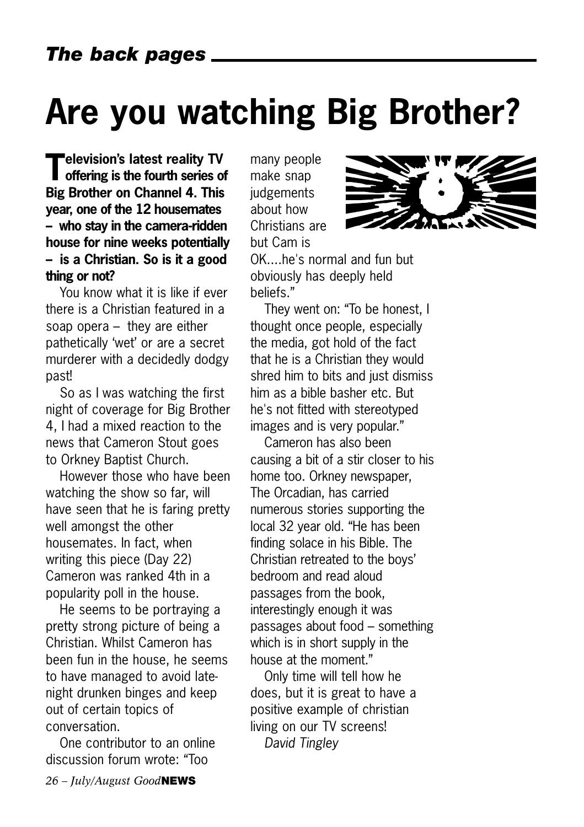# **Are you watching Big Brother?**

**Television's latest reality TV offering is the fourth series of Big Brother on Channel 4. This year, one of the 12 housemates – who stay in the camera-ridden house for nine weeks potentially – is a Christian. So is it a good thing or not?**

You know what it is like if ever there is a Christian featured in a soap opera – they are either pathetically 'wet' or are a secret murderer with a decidedly dodgy past!

So as I was watching the first night of coverage for Big Brother 4, I had a mixed reaction to the news that Cameron Stout goes to Orkney Baptist Church.

However those who have been watching the show so far, will have seen that he is faring pretty well amongst the other housemates. In fact, when writing this piece (Day 22) Cameron was ranked 4th in a popularity poll in the house.

He seems to be portraying a pretty strong picture of being a Christian. Whilst Cameron has been fun in the house, he seems to have managed to avoid latenight drunken binges and keep out of certain topics of conversation.

One contributor to an online discussion forum wrote: "Too

many people make snap iudgements about how Christians are but Cam is OK....he's normal and fun but obviously has deeply held



They went on: "To be honest, I thought once people, especially the media, got hold of the fact that he is a Christian they would shred him to bits and just dismiss him as a bible basher etc. But he's not fitted with stereotyped images and is very popular."

Cameron has also been causing a bit of a stir closer to his home too. Orkney newspaper, The Orcadian, has carried numerous stories supporting the local 32 year old. "He has been finding solace in his Bible. The Christian retreated to the boys' bedroom and read aloud passages from the book, interestingly enough it was passages about food – something which is in short supply in the house at the moment."

Only time will tell how he does, but it is great to have a positive example of christian living on our TV screens! *David Tingley*

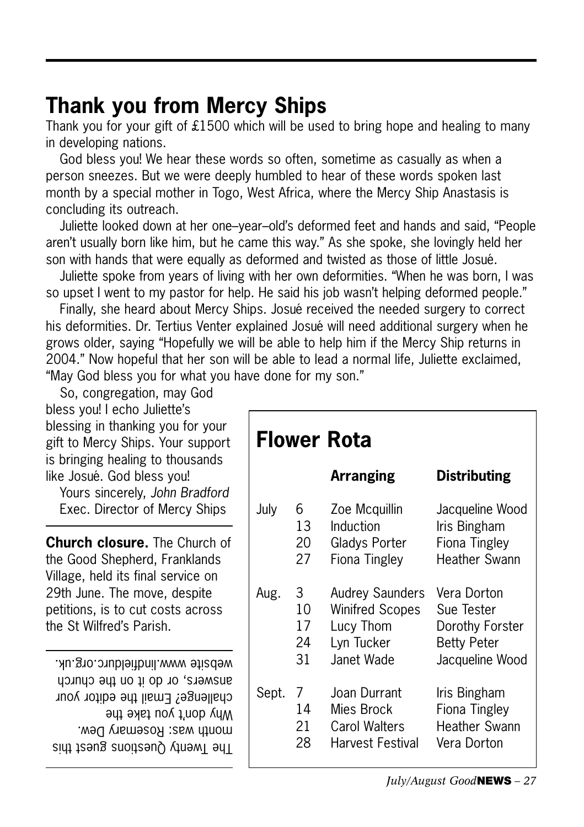## **Thank you from Mercy Ships**

Thank you for your gift of £1500 which will be used to bring hope and healing to many in developing nations.

God bless you! We hear these words so often, sometime as casually as when a person sneezes. But we were deeply humbled to hear of these words spoken last month by a special mother in Togo, West Africa, where the Mercy Ship Anastasis is concluding its outreach.

Juliette looked down at her one–year–old's deformed feet and hands and said, "People aren't usually born like him, but he came this way." As she spoke, she lovingly held her son with hands that were equally as deformed and twisted as those of little Josué.

Juliette spoke from years of living with her own deformities. "When he was born, I was so upset I went to my pastor for help. He said his job wasn't helping deformed people."

Finally, she heard about Mercy Ships. Josué received the needed surgery to correct his deformities. Dr. Tertius Venter explained Josué will need additional surgery when he grows older, saying "Hopefully we will be able to help him if the Mercy Ship returns in 2004." Now hopeful that her son will be able to lead a normal life, Juliette exclaimed, "May God bless you for what you have done for my son."

|                              | So, congregation, may God         |
|------------------------------|-----------------------------------|
| bless you! I echo Juliette's |                                   |
|                              | blessing in thanking you for your |
|                              | gift to Mercy Ships. Your support |
|                              | is bringing healing to thousands  |
| like Josué. God bless you!   |                                   |
|                              |                                   |

Yours sincerely, *John Bradford* Exec. Director of Mercy Ships

**Church closure.** The Church of the Good Shepherd, Franklands Village, held its final service on 29th June. The move, despite petitions, is to cut costs across the St Wilfred's Parish.

 $18$  Harvestions Snest Cups Snest this month was: Rosemary Dew. Why don't you take the challenge? Email the editor your answers, or do it on the church website www.lindfieldurc.org.uk.

| Flower Rota |    |                        |                      |  |
|-------------|----|------------------------|----------------------|--|
|             |    | <b>Arranging</b>       | <b>Distributing</b>  |  |
| July        | 6. | Zoe Mcquillin          | Jacqueline Wood      |  |
|             | 13 | Induction              | Iris Bingham         |  |
|             | 20 | Gladys Porter          | Fiona Tingley        |  |
|             | 27 | Fiona Tingley          | Heather Swann        |  |
| Aug.        | 3  | <b>Audrey Saunders</b> | Vera Dorton          |  |
|             | 10 | <b>Winifred Scopes</b> | Sue Tester           |  |
|             | 17 | Lucy Thom              | Dorothy Forster      |  |
|             | 24 | Lyn Tucker             | <b>Betty Peter</b>   |  |
|             | 31 | Janet Wade             | Jacqueline Wood      |  |
| Sept.       | 7  | Joan Durrant           | Iris Bingham         |  |
|             | 14 | Mies Brock             | Fiona Tingley        |  |
|             | 21 | Carol Walters          | <b>Heather Swann</b> |  |
|             | 28 | Harvest Festival       | Vera Dorton          |  |